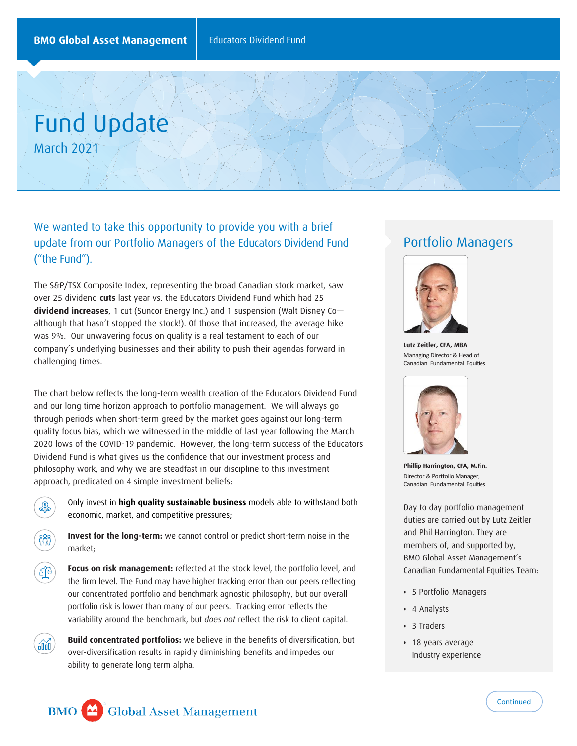Fund Update March 2021

We wanted to take this opportunity to provide you with a brief update from our Portfolio Managers of the Educators Dividend Fund ("the Fund").

The S&P/TSX Composite Index, representing the broad Canadian stock market, saw over 25 dividend **cuts** last year vs. the Educators Dividend Fund which had 25 **dividend increases**, 1 cut (Suncor Energy Inc.) and 1 suspension (Walt Disney Co although that hasn't stopped the stock!). Of those that increased, the average hike was 9%. Our unwavering focus on quality is a real testament to each of our company's underlying businesses and their ability to push their agendas forward in challenging times.

The chart below reflects the long-term wealth creation of the Educators Dividend Fund and our long time horizon approach to portfolio management. We will always go through periods when short-term greed by the market goes against our long-term quality focus bias, which we witnessed in the middle of last year following the March 2020 lows of the COVID-19 pandemic. However, the long-term success of the Educators Dividend Fund is what gives us the confidence that our investment process and philosophy work, and why we are steadfast in our discipline to this investment approach, predicated on 4 simple investment beliefs:



óûú

Only invest in **high quality sustainable business** models able to withstand both economic, market, and competitive pressures;

**Invest for the long-term:** we cannot control or predict short-term noise in the market;

**Focus on risk management:** reflected at the stock level, the portfolio level, and the firm level. The Fund may have higher tracking error than our peers reflecting our concentrated portfolio and benchmark agnostic philosophy, but our overall portfolio risk is lower than many of our peers. Tracking error reflects the variability around the benchmark, but *does not* reflect the risk to client capital.

**Build concentrated portfolios:** we believe in the benefits of diversification, but over-diversification results in rapidly diminishing benefits and impedes our ability to generate long term alpha.

## Portfolio Managers



**Lutz Zeitler, CFA, MBA** Managing Director & Head of Canadian Fundamental Equities



**Phillip Harrington, CFA, M.Fin.** Director & Portfolio Manager, Canadian Fundamental Equities

Day to day portfolio management duties are carried out by Lutz Zeitler and Phil Harrington. They are members of, and supported by, BMO Global Asset Management's Canadian Fundamental Equities Team:

- 5 Portfolio Managers
- 4 Analysts
- 3 Traders
- 18 years average industry experience

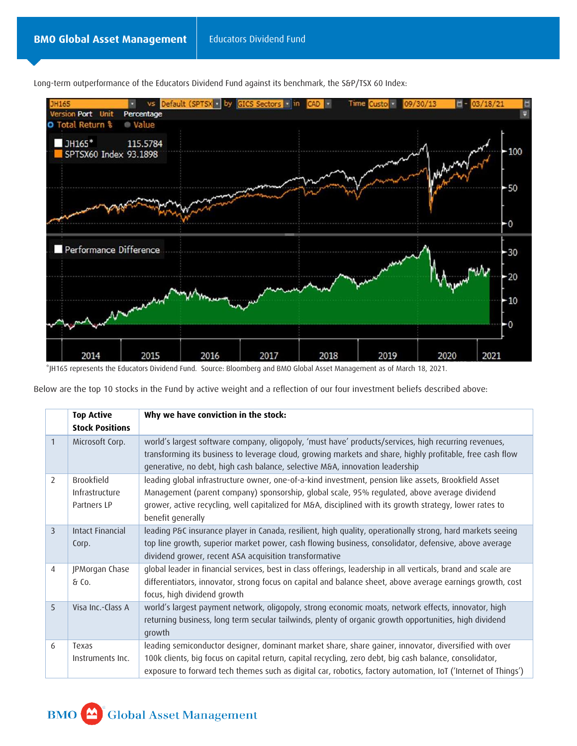

Long-term outperformance of the Educators Dividend Fund against its benchmark, the S&P/TSX 60 Index:

\*JH165 represents the Educators Dividend Fund. Source: Bloomberg and BMO Global Asset Management as of March 18, 2021.

Below are the top 10 stocks in the Fund by active weight and a reflection of our four investment beliefs described above:

|                | <b>Top Active</b><br><b>Stock Positions</b>        | Why we have conviction in the stock:                                                                                                                                                                                                                                                                                                  |
|----------------|----------------------------------------------------|---------------------------------------------------------------------------------------------------------------------------------------------------------------------------------------------------------------------------------------------------------------------------------------------------------------------------------------|
| $\mathbf{1}$   | Microsoft Corp.                                    | world's largest software company, oligopoly, 'must have' products/services, high recurring revenues,<br>transforming its business to leverage cloud, growing markets and share, highly profitable, free cash flow<br>generative, no debt, high cash balance, selective M&A, innovation leadership                                     |
| 2              | <b>Brookfield</b><br>Infrastructure<br>Partners LP | leading global infrastructure owner, one-of-a-kind investment, pension like assets, Brookfield Asset<br>Management (parent company) sponsorship, global scale, 95% regulated, above average dividend<br>grower, active recycling, well capitalized for M&A, disciplined with its growth strategy, lower rates to<br>benefit generally |
| $\overline{3}$ | Intact Financial<br>Corp.                          | leading P&C insurance player in Canada, resilient, high quality, operationally strong, hard markets seeing<br>top line growth, superior market power, cash flowing business, consolidator, defensive, above average<br>dividend grower, recent ASA acquisition transformative                                                         |
| $\overline{4}$ | JPMorgan Chase<br>& Co.                            | global leader in financial services, best in class offerings, leadership in all verticals, brand and scale are<br>differentiators, innovator, strong focus on capital and balance sheet, above average earnings growth, cost<br>focus, high dividend growth                                                                           |
| 5              | Visa Inc.-Class A                                  | world's largest payment network, oligopoly, strong economic moats, network effects, innovator, high<br>returning business, long term secular tailwinds, plenty of organic growth opportunities, high dividend<br>growth                                                                                                               |
| 6              | Texas<br>Instruments Inc.                          | leading semiconductor designer, dominant market share, share gainer, innovator, diversified with over<br>100k clients, big focus on capital return, capital recycling, zero debt, big cash balance, consolidator,<br>exposure to forward tech themes such as digital car, robotics, factory automation, IoT ('Internet of Things')    |